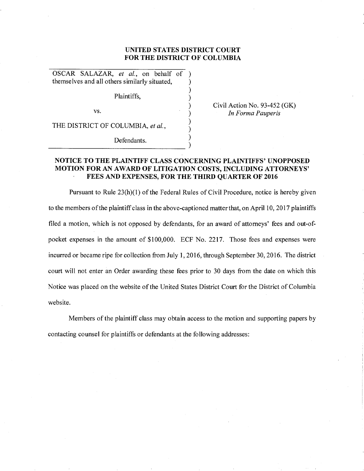## **UNITED STATES DISTRICT COURT FOR THE DISTRICT OF COLUMBIA**

) ) ) ) ) )

OSCAR SALAZAR, *et al.,* on behalf of ) themselves and all others similarly situated, )

Plaintiffs,

vs.

Civil Action No. 93-452 (GK) *In Forma Pauperis* 

THE DISTRICT OF COLUMBIA, *et al.,* 

 $\bigcup_{n=1}^{\infty}$  Defendants.

# **NOTICE TO THE PLAINTIFF CLASS CONCERNING PLAINTIFFS' UNOPPOSED MOTION FOR AN AW ARD OF LITIGATION COSTS, INCLUDING ATTORNEYS' FEES AND EXPENSES, FOR THE THIRD QUARTER OF 2016**

Pursuant to Rule 23(h)(l) of the Federal Rules of Civil Procedure, notice is hereby given to the members of the plaintiff class in the above-captioned matter that, on April 10, 2017 plaintiffs filed a motion, which is not opposed by defendants, for an award of attorneys' fees and out-ofpocket expenses in the amount of \$100,000. ECF No. 2217. Those fees and expenses were incurred or became ripe for collection from July 1, 2016, through September 30, 2016. The district court will not enter an Order awarding these fees prior to 30 days from the date on which this Notice was placed on the website of the United States District Court for the District of Columbia website.

Members of the plaintiff class may obtain access to the motion and supporting papers by contacting counsel for plaintiffs or defendants at the following addresses: